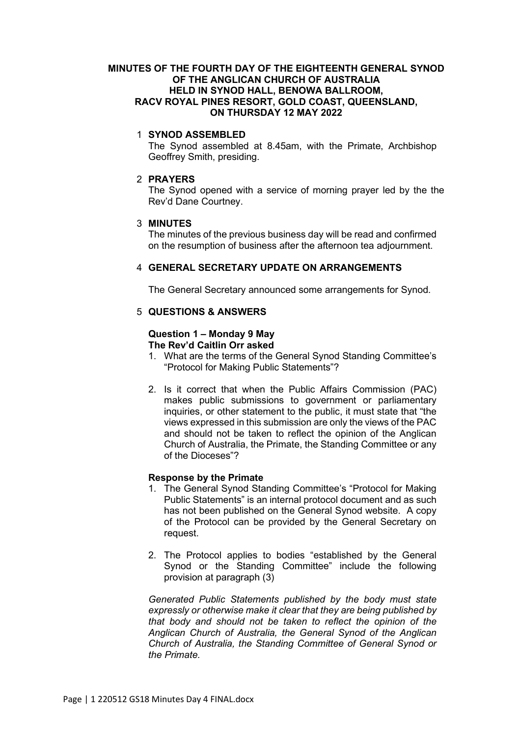## **MINUTES OF THE FOURTH DAY OF THE EIGHTEENTH GENERAL SYNOD OF THE ANGLICAN CHURCH OF AUSTRALIA HELD IN SYNOD HALL, BENOWA BALLROOM, RACV ROYAL PINES RESORT, GOLD COAST, QUEENSLAND, ON THURSDAY 12 MAY 2022**

## 1 **SYNOD ASSEMBLED**

The Synod assembled at 8.45am, with the Primate, Archbishop Geoffrey Smith, presiding.

## 2 **PRAYERS**

The Synod opened with a service of morning prayer led by the the Rev'd Dane Courtney.

## 3 **MINUTES**

The minutes of the previous business day will be read and confirmed on the resumption of business after the afternoon tea adjournment.

## 4 **GENERAL SECRETARY UPDATE ON ARRANGEMENTS**

The General Secretary announced some arrangements for Synod.

## 5 **QUESTIONS & ANSWERS**

## **Question 1 – Monday 9 May The Rev'd Caitlin Orr asked**

- 1. What are the terms of the General Synod Standing Committee's "Protocol for Making Public Statements"?
- 2. Is it correct that when the Public Affairs Commission (PAC) makes public submissions to government or parliamentary inquiries, or other statement to the public, it must state that "the views expressed in this submission are only the views of the PAC and should not be taken to reflect the opinion of the Anglican Church of Australia, the Primate, the Standing Committee or any of the Dioceses"?

## **Response by the Primate**

- 1. The General Synod Standing Committee's "Protocol for Making Public Statements" is an internal protocol document and as such has not been published on the General Synod website. A copy of the Protocol can be provided by the General Secretary on request.
- 2. The Protocol applies to bodies "established by the General Synod or the Standing Committee" include the following provision at paragraph (3)

*Generated Public Statements published by the body must state expressly or otherwise make it clear that they are being published by that body and should not be taken to reflect the opinion of the Anglican Church of Australia, the General Synod of the Anglican Church of Australia, the Standing Committee of General Synod or the Primate.*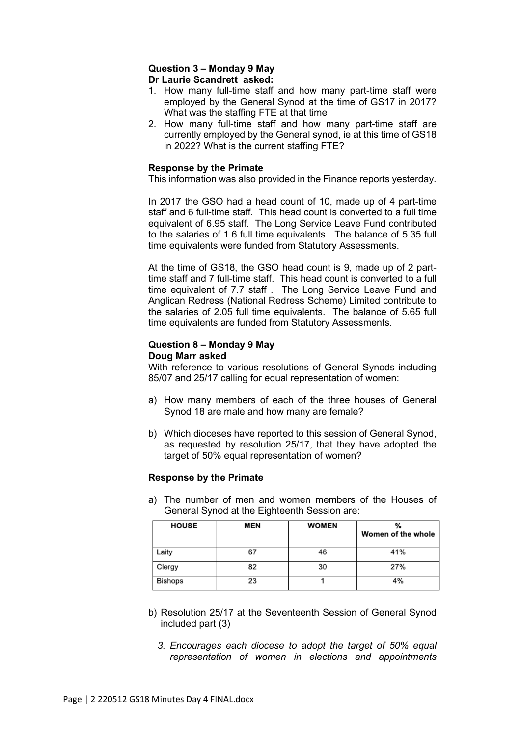## **Question 3 – Monday 9 May Dr Laurie Scandrett asked:**

- 1. How many full-time staff and how many part-time staff were employed by the General Synod at the time of GS17 in 2017? What was the staffing FTE at that time
- 2. How many full-time staff and how many part-time staff are currently employed by the General synod, ie at this time of GS18 in 2022? What is the current staffing FTE?

## **Response by the Primate**

This information was also provided in the Finance reports yesterday.

In 2017 the GSO had a head count of 10, made up of 4 part-time staff and 6 full-time staff. This head count is converted to a full time equivalent of 6.95 staff. The Long Service Leave Fund contributed to the salaries of 1.6 full time equivalents. The balance of 5.35 full time equivalents were funded from Statutory Assessments.

At the time of GS18, the GSO head count is 9, made up of 2 parttime staff and 7 full-time staff. This head count is converted to a full time equivalent of 7.7 staff . The Long Service Leave Fund and Anglican Redress (National Redress Scheme) Limited contribute to the salaries of 2.05 full time equivalents. The balance of 5.65 full time equivalents are funded from Statutory Assessments.

## **Question 8 – Monday 9 May Doug Marr asked**

With reference to various resolutions of General Synods including 85/07 and 25/17 calling for equal representation of women:

- a) How many members of each of the three houses of General Synod 18 are male and how many are female?
- b) Which dioceses have reported to this session of General Synod, as requested by resolution 25/17, that they have adopted the target of 50% equal representation of women?

## **Response by the Primate**

a) The number of men and women members of the Houses of General Synod at the Eighteenth Session are:

| <b>HOUSE</b>   | <b>MEN</b> | <b>WOMEN</b> | Women of the whole |
|----------------|------------|--------------|--------------------|
| Laity          | 67         | 46           | 41%                |
| Clergy         | 82         | 30           | 27%                |
| <b>Bishops</b> | 23         |              | 4%                 |

- b) Resolution 25/17 at the Seventeenth Session of General Synod included part (3)
	- *3. Encourages each diocese to adopt the target of 50% equal representation of women in elections and appointments*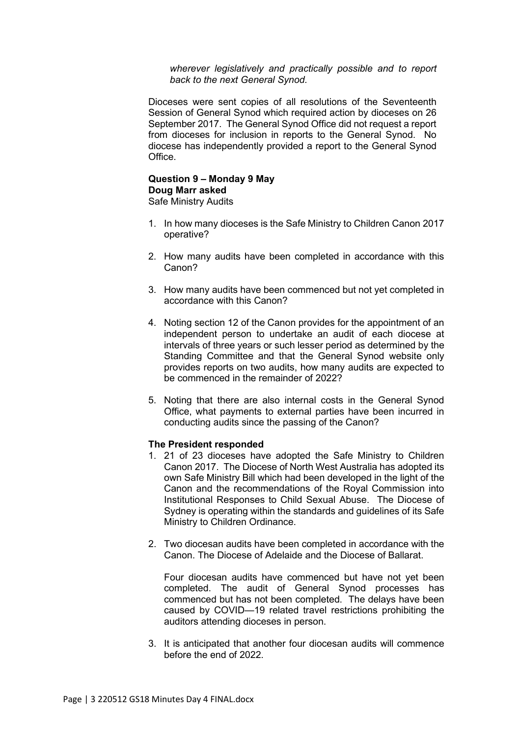*wherever legislatively and practically possible and to report back to the next General Synod.*

Dioceses were sent copies of all resolutions of the Seventeenth Session of General Synod which required action by dioceses on 26 September 2017. The General Synod Office did not request a report from dioceses for inclusion in reports to the General Synod. No diocese has independently provided a report to the General Synod Office.

## **Question 9 – Monday 9 May Doug Marr asked**

Safe Ministry Audits

- 1. In how many dioceses is the Safe Ministry to Children Canon 2017 operative?
- 2. How many audits have been completed in accordance with this Canon?
- 3. How many audits have been commenced but not yet completed in accordance with this Canon?
- 4. Noting section 12 of the Canon provides for the appointment of an independent person to undertake an audit of each diocese at intervals of three years or such lesser period as determined by the Standing Committee and that the General Synod website only provides reports on two audits, how many audits are expected to be commenced in the remainder of 2022?
- 5. Noting that there are also internal costs in the General Synod Office, what payments to external parties have been incurred in conducting audits since the passing of the Canon?

## **The President responded**

- 1. 21 of 23 dioceses have adopted the Safe Ministry to Children Canon 2017. The Diocese of North West Australia has adopted its own Safe Ministry Bill which had been developed in the light of the Canon and the recommendations of the Royal Commission into Institutional Responses to Child Sexual Abuse. The Diocese of Sydney is operating within the standards and guidelines of its Safe Ministry to Children Ordinance.
- 2. Two diocesan audits have been completed in accordance with the Canon. The Diocese of Adelaide and the Diocese of Ballarat.

Four diocesan audits have commenced but have not yet been completed. The audit of General Synod processes has commenced but has not been completed. The delays have been caused by COVID—19 related travel restrictions prohibiting the auditors attending dioceses in person.

3. It is anticipated that another four diocesan audits will commence before the end of 2022.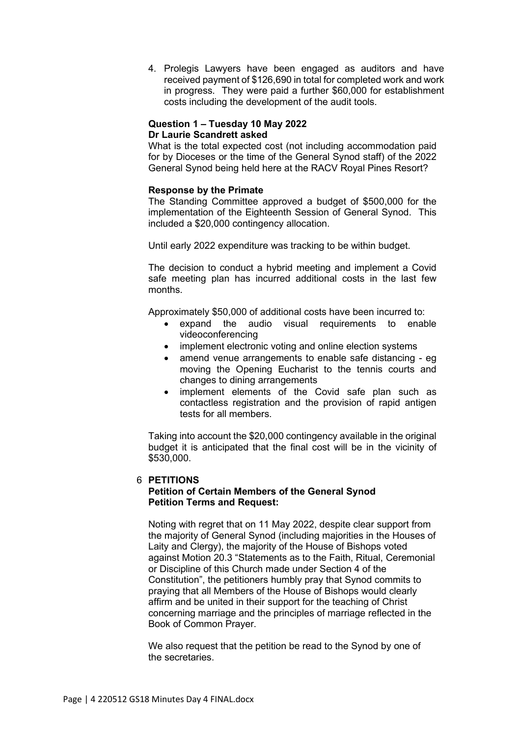4. Prolegis Lawyers have been engaged as auditors and have received payment of \$126,690 in total for completed work and work in progress. They were paid a further \$60,000 for establishment costs including the development of the audit tools.

## **Question 1 – Tuesday 10 May 2022 Dr Laurie Scandrett asked**

What is the total expected cost (not including accommodation paid for by Dioceses or the time of the General Synod staff) of the 2022 General Synod being held here at the RACV Royal Pines Resort?

## **Response by the Primate**

The Standing Committee approved a budget of \$500,000 for the implementation of the Eighteenth Session of General Synod. This included a \$20,000 contingency allocation.

Until early 2022 expenditure was tracking to be within budget.

The decision to conduct a hybrid meeting and implement a Covid safe meeting plan has incurred additional costs in the last few months.

Approximately \$50,000 of additional costs have been incurred to:

- expand the audio visual requirements to enable videoconferencing
- implement electronic voting and online election systems
- amend venue arrangements to enable safe distancing eg moving the Opening Eucharist to the tennis courts and changes to dining arrangements
- implement elements of the Covid safe plan such as contactless registration and the provision of rapid antigen tests for all members.

Taking into account the \$20,000 contingency available in the original budget it is anticipated that the final cost will be in the vicinity of \$530,000.

## 6 **PETITIONS**

## **Petition of Certain Members of the General Synod Petition Terms and Request:**

Noting with regret that on 11 May 2022, despite clear support from the majority of General Synod (including majorities in the Houses of Laity and Clergy), the majority of the House of Bishops voted against Motion 20.3 "Statements as to the Faith, Ritual, Ceremonial or Discipline of this Church made under Section 4 of the Constitution", the petitioners humbly pray that Synod commits to praying that all Members of the House of Bishops would clearly affirm and be united in their support for the teaching of Christ concerning marriage and the principles of marriage reflected in the Book of Common Prayer.

We also request that the petition be read to the Synod by one of the secretaries.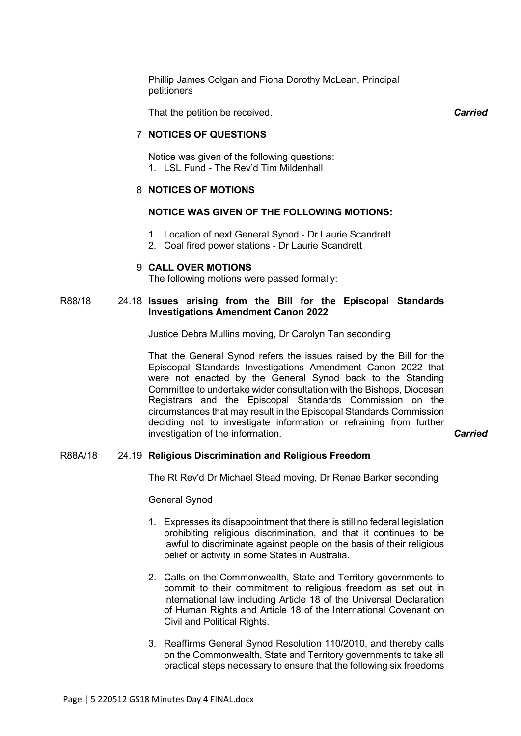Phillip James Colgan and Fiona Dorothy McLean, Principal petitioners

That the petition be received. *Carried*

## 7 **NOTICES OF QUESTIONS**

Notice was given of the following questions: 1. LSL Fund - The Rev'd Tim Mildenhall

## 8 **NOTICES OF MOTIONS**

## **NOTICE WAS GIVEN OF THE FOLLOWING MOTIONS:**

- 1. Location of next General Synod Dr Laurie Scandrett
- 2. Coal fired power stations Dr Laurie Scandrett

#### 9 **CALL OVER MOTIONS**

The following motions were passed formally:

## R88/18 24.18 **Issues arising from the Bill for the Episcopal Standards Investigations Amendment Canon 2022**

Justice Debra Mullins moving, Dr Carolyn Tan seconding

That the General Synod refers the issues raised by the Bill for the Episcopal Standards Investigations Amendment Canon 2022 that were not enacted by the General Synod back to the Standing Committee to undertake wider consultation with the Bishops, Diocesan Registrars and the Episcopal Standards Commission on the circumstances that may result in the Episcopal Standards Commission deciding not to investigate information or refraining from further investigation of the information. *Carried*

## R88A/18 24.19 **Religious Discrimination and Religious Freedom**

The Rt Rev'd Dr Michael Stead moving, Dr Renae Barker seconding

General Synod

- 1. Expresses its disappointment that there is still no federal legislation prohibiting religious discrimination, and that it continues to be lawful to discriminate against people on the basis of their religious belief or activity in some States in Australia.
- 2. Calls on the Commonwealth, State and Territory governments to commit to their commitment to religious freedom as set out in international law including Article 18 of the Universal Declaration of Human Rights and Article 18 of the International Covenant on Civil and Political Rights.
- 3. Reaffirms General Synod Resolution 110/2010, and thereby calls on the Commonwealth, State and Territory governments to take all practical steps necessary to ensure that the following six freedoms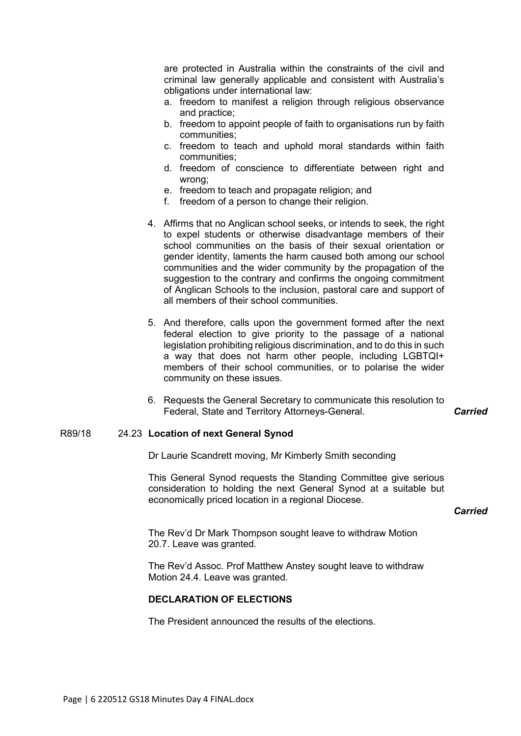are protected in Australia within the constraints of the civil and criminal law generally applicable and consistent with Australia's obligations under international law:

- a. freedom to manifest a religion through religious observance and practice;
- b. freedom to appoint people of faith to organisations run by faith communities;
- c. freedom to teach and uphold moral standards within faith communities;
- d. freedom of conscience to differentiate between right and wrong;
- e. freedom to teach and propagate religion; and
- f. freedom of a person to change their religion.
- 4. Affirms that no Anglican school seeks, or intends to seek, the right to expel students or otherwise disadvantage members of their school communities on the basis of their sexual orientation or gender identity, laments the harm caused both among our school communities and the wider community by the propagation of the suggestion to the contrary and confirms the ongoing commitment of Anglican Schools to the inclusion, pastoral care and support of all members of their school communities.
- 5. And therefore, calls upon the government formed after the next federal election to give priority to the passage of a national legislation prohibiting religious discrimination, and to do this in such a way that does not harm other people, including LGBTQI+ members of their school communities, or to polarise the wider community on these issues.
- 6. Requests the General Secretary to communicate this resolution to Federal, State and Territory Attorneys-General. *Carried*

## R89/18 24.23 **Location of next General Synod**

Dr Laurie Scandrett moving, Mr Kimberly Smith seconding

This General Synod requests the Standing Committee give serious consideration to holding the next General Synod at a suitable but economically priced location in a regional Diocese.

## *Carried*

The Rev'd Dr Mark Thompson sought leave to withdraw Motion 20.7. Leave was granted.

The Rev'd Assoc. Prof Matthew Anstey sought leave to withdraw Motion 24.4. Leave was granted.

## **DECLARATION OF ELECTIONS**

The President announced the results of the elections.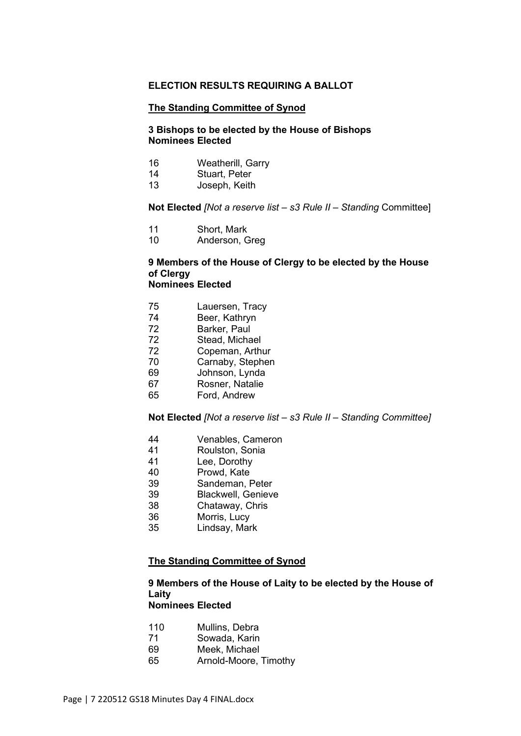## **ELECTION RESULTS REQUIRING A BALLOT**

#### **The Standing Committee of Synod**

## **3 Bishops to be elected by the House of Bishops Nominees Elected**

- 16 Weatherill, Garry
- 14 Stuart, Peter
- 13 Joseph, Keith

## **Not Elected** *[Not a reserve list – s3 Rule II – Standing* Committee]

- 11 Short, Mark
- 10 Anderson, Greg

#### **9 Members of the House of Clergy to be elected by the House of Clergy Nominees Elected**

- 75 Lauersen, Tracy
- 74 Beer, Kathryn
- 72 Barker, Paul<br>72 Stead, Micha
- Stead, Michael
- 72 Copeman, Arthur
- Carnaby, Stephen
- 69 Johnson, Lynda
- 67 Rosner, Natalie
- 65 Ford, Andrew

**Not Elected** *[Not a reserve list – s3 Rule II – Standing Committee]*

- 44 Venables, Cameron<br>41 Roulston Sonia
- Roulston, Sonia
- 41 Lee, Dorothy
- 40 Prowd, Kate
- 39 Sandeman, Peter<br>39 Blackwell. Geniev
- Blackwell, Genieve
- 38 Chataway, Chris
- 36 Morris, Lucy
- 35 Lindsay, Mark

## **The Standing Committee of Synod**

#### **9 Members of the House of Laity to be elected by the House of Laity Nominees Elected**

- 110 Mullins, Debra
- 71 Sowada, Karin
- 69 Meek, Michael
- 65 Arnold-Moore, Timothy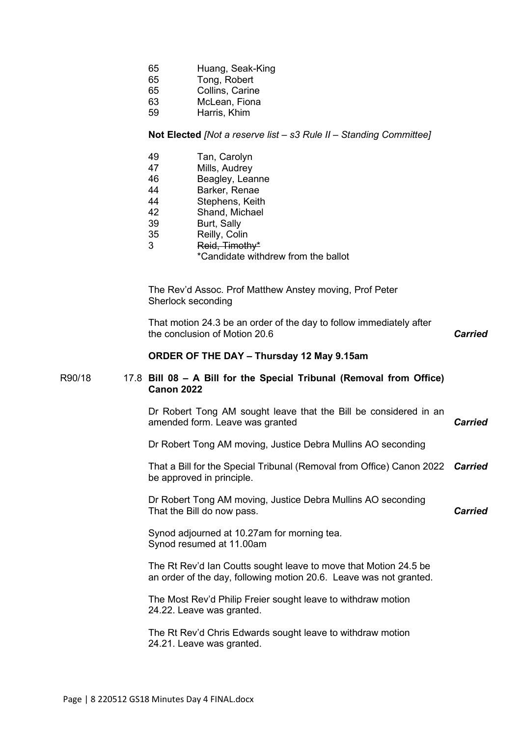| 65 |  | Huang, Seak-King |
|----|--|------------------|
|----|--|------------------|

- 65 Tong, Robert
- 65 Collins, Carine
- McLean, Fiona
- 59 Harris, Khim

## **Not Elected** *[Not a reserve list – s3 Rule II – Standing Committee]*

- 49 Tan, Carolyn<br>47 Mills. Audrev
- Mills, Audrey
- 46 Beagley, Leanne<br>44 Barker Renae
- Barker, Renae
- 44 Stephens, Keith
- 42 Shand, Michael
- 39 Burt, Sally
- 35 Reilly, Colin
- 3 Reid, Timothy\*
	- \*Candidate withdrew from the ballot

The Rev'd Assoc. Prof Matthew Anstey moving, Prof Peter Sherlock seconding

That motion 24.3 be an order of the day to follow immediately after the conclusion of Motion 20.6 *Carried*

## **ORDER OF THE DAY – Thursday 12 May 9.15am**

## R90/18 17.8 **Bill 08 – A Bill for the Special Tribunal (Removal from Office) Canon 2022**

Dr Robert Tong AM sought leave that the Bill be considered in an amended form. Leave was granted *Carried*

Dr Robert Tong AM moving, Justice Debra Mullins AO seconding

That a Bill for the Special Tribunal (Removal from Office) Canon 2022 *Carried* be approved in principle.

Dr Robert Tong AM moving, Justice Debra Mullins AO seconding That the Bill do now pass.

*Carried*

Synod adjourned at 10.27am for morning tea. Synod resumed at 11.00am

The Rt Rev'd Ian Coutts sought leave to move that Motion 24.5 be an order of the day, following motion 20.6. Leave was not granted.

The Most Rev'd Philip Freier sought leave to withdraw motion 24.22. Leave was granted.

The Rt Rev'd Chris Edwards sought leave to withdraw motion 24.21. Leave was granted.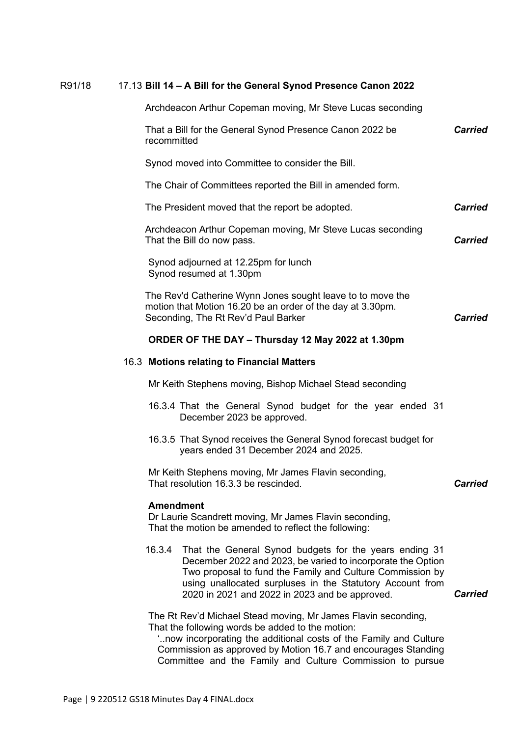## R91/18 17.13 **Bill 14 – A Bill for the General Synod Presence Canon 2022**

|                  | Archdeacon Arthur Copeman moving, Mr Steve Lucas seconding                                                                                                                                                                                                                                        |                |
|------------------|---------------------------------------------------------------------------------------------------------------------------------------------------------------------------------------------------------------------------------------------------------------------------------------------------|----------------|
| recommitted      | That a Bill for the General Synod Presence Canon 2022 be                                                                                                                                                                                                                                          | <b>Carried</b> |
|                  | Synod moved into Committee to consider the Bill.                                                                                                                                                                                                                                                  |                |
|                  | The Chair of Committees reported the Bill in amended form.                                                                                                                                                                                                                                        |                |
|                  | The President moved that the report be adopted.                                                                                                                                                                                                                                                   | <b>Carried</b> |
|                  | Archdeacon Arthur Copeman moving, Mr Steve Lucas seconding<br>That the Bill do now pass.                                                                                                                                                                                                          | <b>Carried</b> |
|                  | Synod adjourned at 12.25pm for lunch<br>Synod resumed at 1.30pm                                                                                                                                                                                                                                   |                |
|                  | The Rev'd Catherine Wynn Jones sought leave to to move the<br>motion that Motion 16.20 be an order of the day at 3.30pm.<br>Seconding, The Rt Rev'd Paul Barker                                                                                                                                   | <b>Carried</b> |
|                  | ORDER OF THE DAY - Thursday 12 May 2022 at 1.30pm                                                                                                                                                                                                                                                 |                |
|                  | 16.3 Motions relating to Financial Matters                                                                                                                                                                                                                                                        |                |
|                  | Mr Keith Stephens moving, Bishop Michael Stead seconding                                                                                                                                                                                                                                          |                |
|                  | 16.3.4 That the General Synod budget for the year ended 31<br>December 2023 be approved.                                                                                                                                                                                                          |                |
|                  | 16.3.5 That Synod receives the General Synod forecast budget for<br>years ended 31 December 2024 and 2025.                                                                                                                                                                                        |                |
|                  | Mr Keith Stephens moving, Mr James Flavin seconding,<br>That resolution 16.3.3 be rescinded.                                                                                                                                                                                                      | <b>Carried</b> |
| <b>Amendment</b> | Dr Laurie Scandrett moving, Mr James Flavin seconding,<br>That the motion be amended to reflect the following:                                                                                                                                                                                    |                |
| 16.3.4           | That the General Synod budgets for the years ending 31<br>December 2022 and 2023, be varied to incorporate the Option<br>Two proposal to fund the Family and Culture Commission by<br>using unallocated surpluses in the Statutory Account from<br>2020 in 2021 and 2022 in 2023 and be approved. | <b>Carried</b> |
|                  | The Rt Rev'd Michael Stead moving, Mr James Flavin seconding,<br>That the following words be added to the motion:<br>now incorporating the additional costs of the Family and Culture<br>Commission as approved by Motion 16.7 and encourages Standing                                            |                |

Committee and the Family and Culture Commission to pursue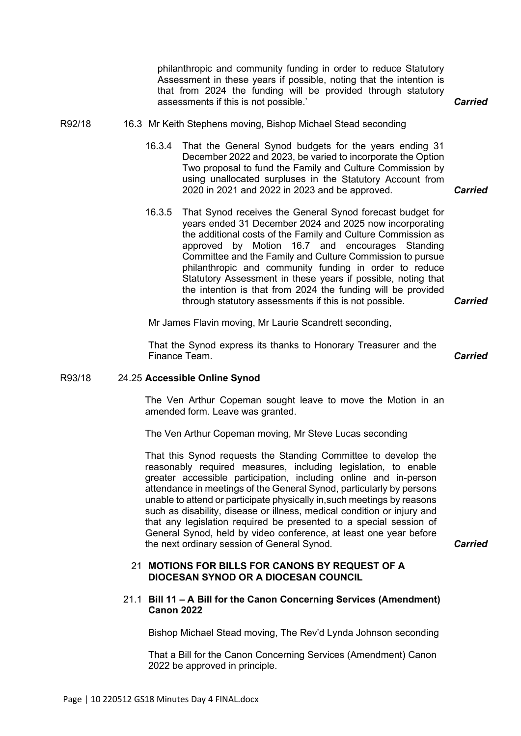philanthropic and community funding in order to reduce Statutory Assessment in these years if possible, noting that the intention is that from 2024 the funding will be provided through statutory assessments if this is not possible.' *Carried*

## R92/18 16.3 Mr Keith Stephens moving, Bishop Michael Stead seconding

- 16.3.4 That the General Synod budgets for the years ending 31 December 2022 and 2023, be varied to incorporate the Option Two proposal to fund the Family and Culture Commission by using unallocated surpluses in the Statutory Account from 2020 in 2021 and 2022 in 2023 and be approved. *Carried*
- 16.3.5 That Synod receives the General Synod forecast budget for years ended 31 December 2024 and 2025 now incorporating the additional costs of the Family and Culture Commission as approved by Motion 16.7 and encourages Standing Committee and the Family and Culture Commission to pursue philanthropic and community funding in order to reduce Statutory Assessment in these years if possible, noting that the intention is that from 2024 the funding will be provided through statutory assessments if this is not possible.

Mr James Flavin moving, Mr Laurie Scandrett seconding,

That the Synod express its thanks to Honorary Treasurer and the Finance Team. *Carried*

## R93/18 24.25 **Accessible Online Synod**

The Ven Arthur Copeman sought leave to move the Motion in an amended form. Leave was granted.

The Ven Arthur Copeman moving, Mr Steve Lucas seconding

That this Synod requests the Standing Committee to develop the reasonably required measures, including legislation, to enable greater accessible participation, including online and in-person attendance in meetings of the General Synod, particularly by persons unable to attend or participate physically in,such meetings by reasons such as disability, disease or illness, medical condition or injury and that any legislation required be presented to a special session of General Synod, held by video conference, at least one year before the next ordinary session of General Synod. *Carried*

## 21 **MOTIONS FOR BILLS FOR CANONS BY REQUEST OF A DIOCESAN SYNOD OR A DIOCESAN COUNCIL**

## 21.1 **Bill 11 – A Bill for the Canon Concerning Services (Amendment) Canon 2022**

Bishop Michael Stead moving, The Rev'd Lynda Johnson seconding

That a Bill for the Canon Concerning Services (Amendment) Canon 2022 be approved in principle.

*Carried*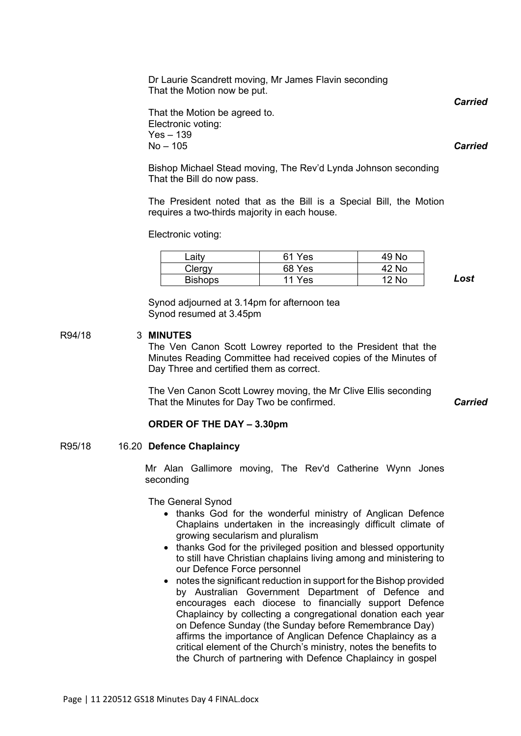Dr Laurie Scandrett moving, Mr James Flavin seconding That the Motion now be put.

That the Motion be agreed to. Electronic voting: Yes – 139  $No - 105$ 

Bishop Michael Stead moving, The Rev'd Lynda Johnson seconding That the Bill do now pass.

The President noted that as the Bill is a Special Bill, the Motion requires a two-thirds majority in each house.

Electronic voting:

| ∟ait∨          | 61 Yes | 49 No |
|----------------|--------|-------|
| Clergy         | 68 Yes | 42 No |
| <b>Bishops</b> | 11 Yes | 12 No |

*Lost*

Synod adjourned at 3.14pm for afternoon tea Synod resumed at 3.45pm

R94/18 3 **MINUTES**

The Ven Canon Scott Lowrey reported to the President that the Minutes Reading Committee had received copies of the Minutes of Day Three and certified them as correct.

The Ven Canon Scott Lowrey moving, the Mr Clive Ellis seconding That the Minutes for Day Two be confirmed. *Carried*

**ORDER OF THE DAY – 3.30pm**

R95/18 16.20 **Defence Chaplaincy** 

Mr Alan Gallimore moving, The Rev'd Catherine Wynn Jones seconding

The General Synod

- thanks God for the wonderful ministry of Anglican Defence Chaplains undertaken in the increasingly difficult climate of growing secularism and pluralism
- thanks God for the privileged position and blessed opportunity to still have Christian chaplains living among and ministering to our Defence Force personnel
- notes the significant reduction in support for the Bishop provided by Australian Government Department of Defence and encourages each diocese to financially support Defence Chaplaincy by collecting a congregational donation each year on Defence Sunday (the Sunday before Remembrance Day) affirms the importance of Anglican Defence Chaplaincy as a critical element of the Church's ministry, notes the benefits to the Church of partnering with Defence Chaplaincy in gospel

Page | 11 220512 GS18 Minutes Day 4 FINAL.docx

*Carried*

*Carried*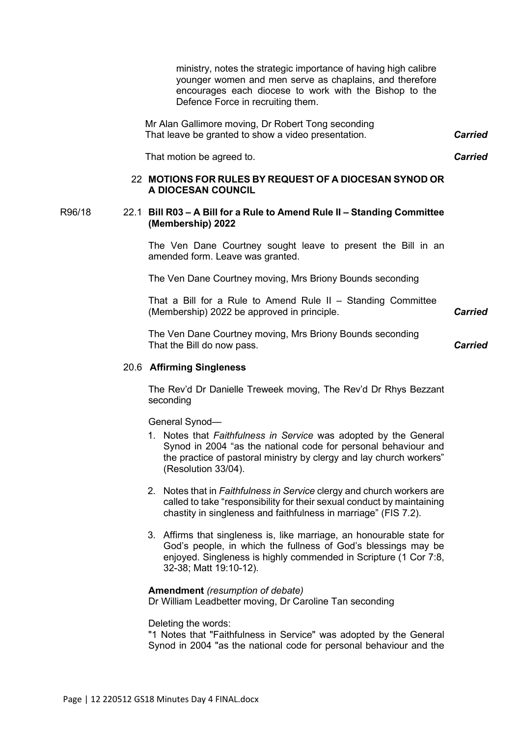ministry, notes the strategic importance of having high calibre younger women and men serve as chaplains, and therefore encourages each diocese to work with the Bishop to the Defence Force in recruiting them.

Mr Alan Gallimore moving, Dr Robert Tong seconding That leave be granted to show a video presentation.

That motion be agreed to.

## 22 **MOTIONS FOR RULES BY REQUEST OF A DIOCESAN SYNOD OR A DIOCESAN COUNCIL**

## R96/18 22.1 **Bill R03 – A Bill for a Rule to Amend Rule II – Standing Committee (Membership) 2022**

The Ven Dane Courtney sought leave to present the Bill in an amended form. Leave was granted.

The Ven Dane Courtney moving, Mrs Briony Bounds seconding

That a Bill for a Rule to Amend Rule II – Standing Committee (Membership) 2022 be approved in principle. *Carried*

The Ven Dane Courtney moving, Mrs Briony Bounds seconding That the Bill do now pass.

*Carried*

*Carried*

*Carried*

## 20.6 **Affirming Singleness**

The Rev'd Dr Danielle Treweek moving, The Rev'd Dr Rhys Bezzant seconding

General Synod—

- 1. Notes that *Faithfulness in Service* was adopted by the General Synod in 2004 "as the national code for personal behaviour and the practice of pastoral ministry by clergy and lay church workers" (Resolution 33/04).
- 2. Notes that in *Faithfulness in Service* clergy and church workers are called to take "responsibility for their sexual conduct by maintaining chastity in singleness and faithfulness in marriage" (FIS 7.2).
- 3. Affirms that singleness is, like marriage, an honourable state for God's people, in which the fullness of God's blessings may be enjoyed. Singleness is highly commended in Scripture (1 Cor 7:8, 32-38; Matt 19:10-12).

#### **Amendment** *(resumption of debate)*

Dr William Leadbetter moving, Dr Caroline Tan seconding

Deleting the words:

"1 Notes that "Faithfulness in Service" was adopted by the General Synod in 2004 "as the national code for personal behaviour and the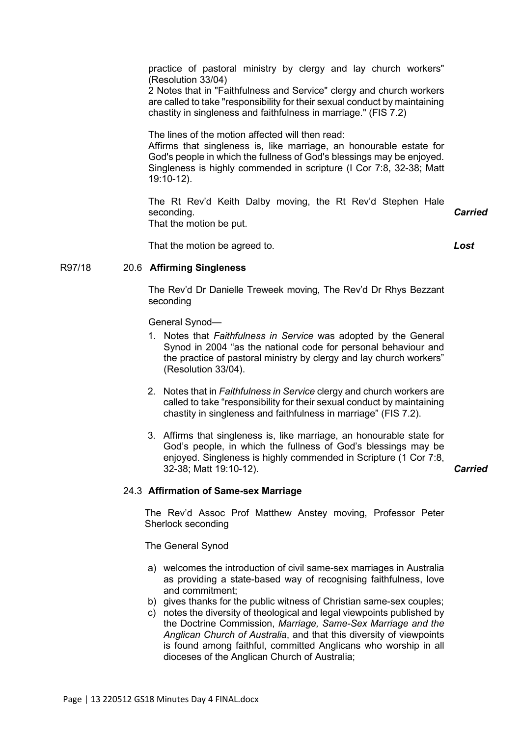practice of pastoral ministry by clergy and lay church workers" (Resolution 33/04)

2 Notes that in "Faithfulness and Service" clergy and church workers are called to take "responsibility for their sexual conduct by maintaining chastity in singleness and faithfulness in marriage." (FIS 7.2)

The lines of the motion affected will then read: Affirms that singleness is, like marriage, an honourable estate for God's people in which the fullness of God's blessings may be enjoyed. Singleness is highly commended in scripture (I Cor 7:8, 32-38; Matt 19:10-12).

The Rt Rev'd Keith Dalby moving, the Rt Rev'd Stephen Hale seconding. That the motion be put. *Carried*

That the motion be agreed to.

*Lost*

## R97/18 20.6 **Affirming Singleness**

The Rev'd Dr Danielle Treweek moving, The Rev'd Dr Rhys Bezzant seconding

General Synod—

- 1. Notes that *Faithfulness in Service* was adopted by the General Synod in 2004 "as the national code for personal behaviour and the practice of pastoral ministry by clergy and lay church workers" (Resolution 33/04).
- 2. Notes that in *Faithfulness in Service* clergy and church workers are called to take "responsibility for their sexual conduct by maintaining chastity in singleness and faithfulness in marriage" (FIS 7.2).
- 3. Affirms that singleness is, like marriage, an honourable state for God's people, in which the fullness of God's blessings may be enjoyed. Singleness is highly commended in Scripture (1 Cor 7:8, 32-38; Matt 19:10-12). *Carried*

## 24.3 **Affirmation of Same-sex Marriage**

The Rev'd Assoc Prof Matthew Anstey moving, Professor Peter Sherlock seconding

The General Synod

- a) welcomes the introduction of civil same-sex marriages in Australia as providing a state-based way of recognising faithfulness, love and commitment;
- b) gives thanks for the public witness of Christian same-sex couples;
- c) notes the diversity of theological and legal viewpoints published by the Doctrine Commission, *Marriage, Same-Sex Marriage and the Anglican Church of Australia*, and that this diversity of viewpoints is found among faithful, committed Anglicans who worship in all dioceses of the Anglican Church of Australia;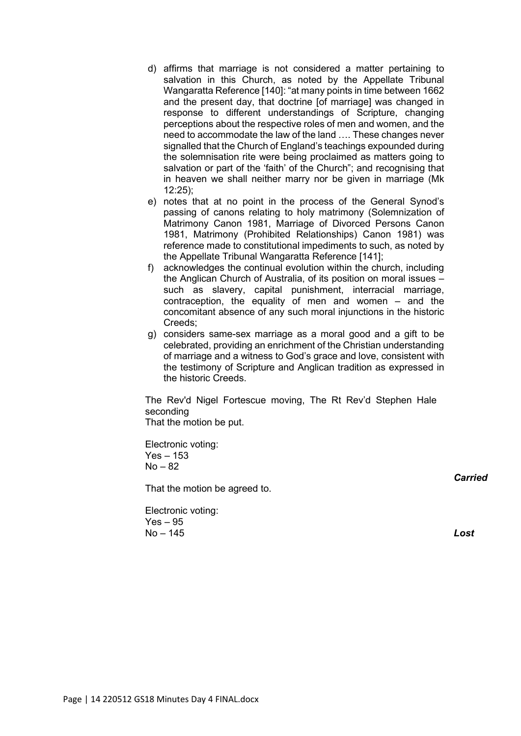- d) affirms that marriage is not considered a matter pertaining to salvation in this Church, as noted by the Appellate Tribunal Wangaratta Reference [140]: "at many points in time between 1662 and the present day, that doctrine [of marriage] was changed in response to different understandings of Scripture, changing perceptions about the respective roles of men and women, and the need to accommodate the law of the land …. These changes never signalled that the Church of England's teachings expounded during the solemnisation rite were being proclaimed as matters going to salvation or part of the 'faith' of the Church"; and recognising that in heaven we shall neither marry nor be given in marriage (Mk 12:25);
- e) notes that at no point in the process of the General Synod's passing of canons relating to holy matrimony (Solemnization of Matrimony Canon 1981, Marriage of Divorced Persons Canon 1981, Matrimony (Prohibited Relationships) Canon 1981) was reference made to constitutional impediments to such, as noted by the Appellate Tribunal Wangaratta Reference [141];
- f) acknowledges the continual evolution within the church, including the Anglican Church of Australia, of its position on moral issues – such as slavery, capital punishment, interracial marriage, contraception, the equality of men and women – and the concomitant absence of any such moral injunctions in the historic Creeds;
- g) considers same-sex marriage as a moral good and a gift to be celebrated, providing an enrichment of the Christian understanding of marriage and a witness to God's grace and love, consistent with the testimony of Scripture and Anglican tradition as expressed in the historic Creeds.

The Rev'd Nigel Fortescue moving, The Rt Rev'd Stephen Hale seconding That the motion be put.

Electronic voting: Yes – 153  $No - 82$ 

That the motion be agreed to.

Electronic voting:  $Yes - 95$  $No - 145$ 

*Carried*

*Lost*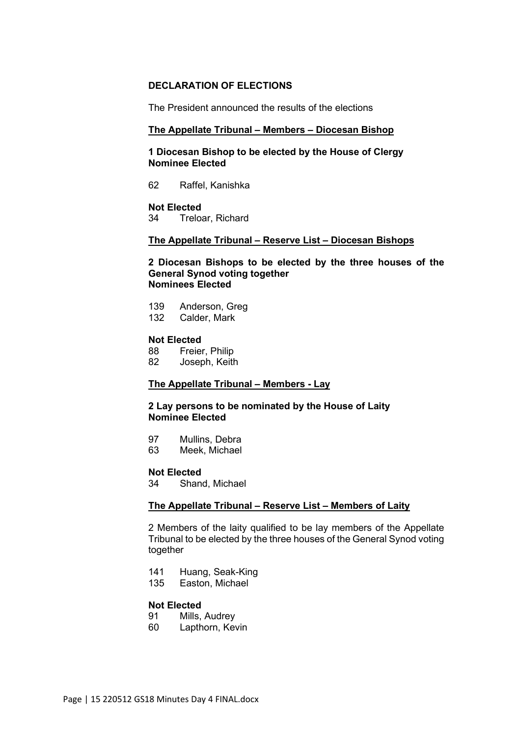## **DECLARATION OF ELECTIONS**

The President announced the results of the elections

## **The Appellate Tribunal – Members – Diocesan Bishop**

**1 Diocesan Bishop to be elected by the House of Clergy Nominee Elected**

62 Raffel, Kanishka

# **Not Elected**<br>34 Treloa

Treloar, Richard

## **The Appellate Tribunal – Reserve List – Diocesan Bishops**

**2 Diocesan Bishops to be elected by the three houses of the General Synod voting together Nominees Elected**

139 Anderson, Greg 132 Calder, Mark

#### **Not Elected**

88 Freier, Philip<br>82 Deseph Keith Joseph, Keith

## **The Appellate Tribunal – Members - Lay**

## **2 Lay persons to be nominated by the House of Laity Nominee Elected**

97 Mullins, Debra<br>63 Meek Michael

Meek, Michael

# **Not Elected**<br>34 Shan

Shand, Michael

#### **The Appellate Tribunal – Reserve List – Members of Laity**

2 Members of the laity qualified to be lay members of the Appellate Tribunal to be elected by the three houses of the General Synod voting together

- 141 Huang, Seak-King
- 135 Easton, Michael

# **Not Elected**<br>91 Mills.

- Mills, Audrey
- 60 Lapthorn, Kevin